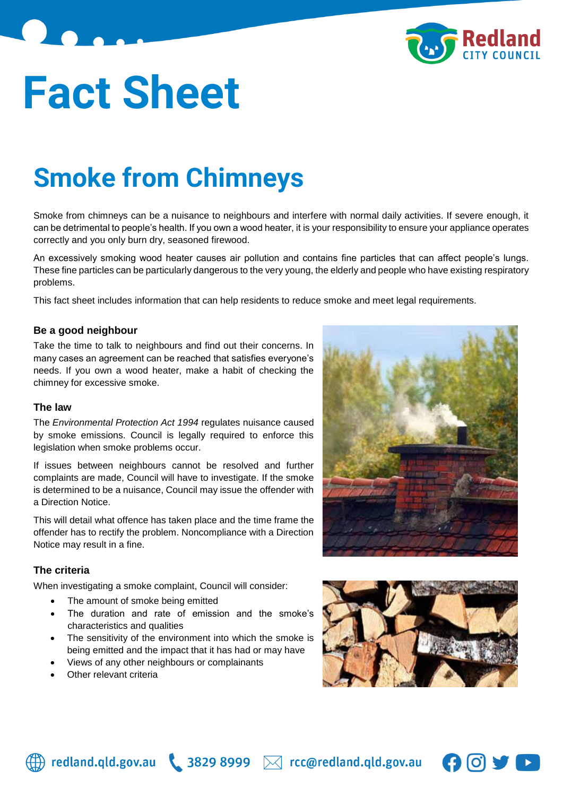

# **Fact Sheet**

# **Smoke from Chimneys**

Smoke from chimneys can be a nuisance to neighbours and interfere with normal daily activities. If severe enough, it can be detrimental to people's health. If you own a wood heater, it is your responsibility to ensure your appliance operates correctly and you only burn dry, seasoned firewood.

An excessively smoking wood heater causes air pollution and contains fine particles that can affect people's lungs. These fine particles can be particularly dangerous to the very young, the elderly and people who have existing respiratory problems.

This fact sheet includes information that can help residents to reduce smoke and meet legal requirements.

#### **Be a good neighbour**

Take the time to talk to neighbours and find out their concerns. In many cases an agreement can be reached that satisfies everyone's needs. If you own a wood heater, make a habit of checking the chimney for excessive smoke.

#### **The law**

The *Environmental Protection Act 1994* regulates nuisance caused by smoke emissions. Council is legally required to enforce this legislation when smoke problems occur.

If issues between neighbours cannot be resolved and further complaints are made, Council will have to investigate. If the smoke is determined to be a nuisance, Council may issue the offender with a Direction Notice.

This will detail what offence has taken place and the time frame the offender has to rectify the problem. Noncompliance with a Direction Notice may result in a fine.

#### **The criteria**

When investigating a smoke complaint, Council will consider:

- The amount of smoke being emitted
- The duration and rate of emission and the smoke's characteristics and qualities
- The sensitivity of the environment into which the smoke is being emitted and the impact that it has had or may have
- Views of any other neighbours or complainants
- Other relevant criteria







 $\bigoplus$  redland.qld.gov.au \ 3829 8999  $\bowtie$  rcc@redland.qld.gov.au